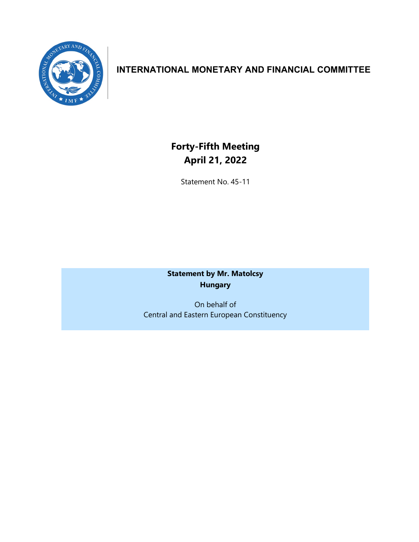

## **INTERNATIONAL MONETARY AND FINANCIAL COMMITTEE**

**Forty-Fifth Meeting April 21, 2022**

Statement No. 45-11

**Statement by Mr. Matolcsy Hungary**

On behalf of Central and Eastern European Constituency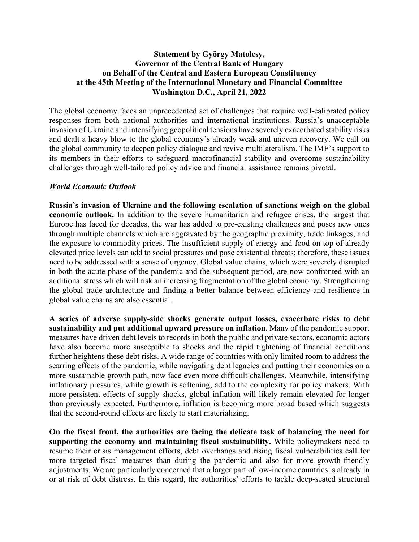## **Statement by György Matolcsy, Governor of the Central Bank of Hungary on Behalf of the Central and Eastern European Constituency at the 45th Meeting of the International Monetary and Financial Committee Washington D.C., April 21, 2022**

The global economy faces an unprecedented set of challenges that require well-calibrated policy responses from both national authorities and international institutions. Russia's unacceptable invasion of Ukraine and intensifying geopolitical tensions have severely exacerbated stability risks and dealt a heavy blow to the global economy's already weak and uneven recovery. We call on the global community to deepen policy dialogue and revive multilateralism. The IMF's support to its members in their efforts to safeguard macrofinancial stability and overcome sustainability challenges through well-tailored policy advice and financial assistance remains pivotal.

## *World Economic Outlook*

**Russia's invasion of Ukraine and the following escalation of sanctions weigh on the global economic outlook.** In addition to the severe humanitarian and refugee crises, the largest that Europe has faced for decades, the war has added to pre-existing challenges and poses new ones through multiple channels which are aggravated by the geographic proximity, trade linkages, and the exposure to commodity prices. The insufficient supply of energy and food on top of already elevated price levels can add to social pressures and pose existential threats; therefore, these issues need to be addressed with a sense of urgency. Global value chains, which were severely disrupted in both the acute phase of the pandemic and the subsequent period, are now confronted with an additional stress which will risk an increasing fragmentation of the global economy. Strengthening the global trade architecture and finding a better balance between efficiency and resilience in global value chains are also essential.

**A series of adverse supply-side shocks generate output losses, exacerbate risks to debt sustainability and put additional upward pressure on inflation.** Many of the pandemic support measures have driven debt levels to records in both the public and private sectors, economic actors have also become more susceptible to shocks and the rapid tightening of financial conditions further heightens these debt risks. A wide range of countries with only limited room to address the scarring effects of the pandemic, while navigating debt legacies and putting their economies on a more sustainable growth path, now face even more difficult challenges. Meanwhile, intensifying inflationary pressures, while growth is softening, add to the complexity for policy makers. With more persistent effects of supply shocks, global inflation will likely remain elevated for longer than previously expected. Furthermore, inflation is becoming more broad based which suggests that the second-round effects are likely to start materializing.

**On the fiscal front, the authorities are facing the delicate task of balancing the need for supporting the economy and maintaining fiscal sustainability.** While policymakers need to resume their crisis management efforts, debt overhangs and rising fiscal vulnerabilities call for more targeted fiscal measures than during the pandemic and also for more growth-friendly adjustments. We are particularly concerned that a larger part of low-income countries is already in or at risk of debt distress. In this regard, the authorities' efforts to tackle deep-seated structural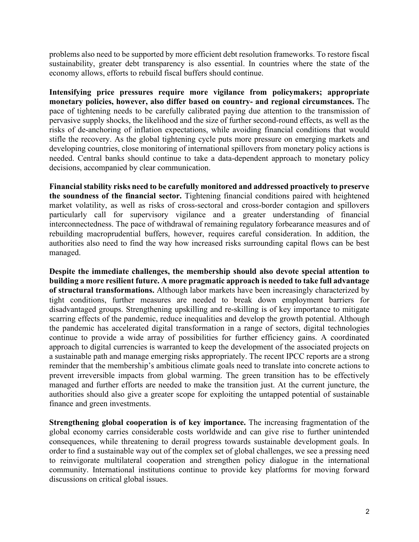problems also need to be supported by more efficient debt resolution frameworks. To restore fiscal sustainability, greater debt transparency is also essential. In countries where the state of the economy allows, efforts to rebuild fiscal buffers should continue.

**Intensifying price pressures require more vigilance from policymakers; appropriate monetary policies, however, also differ based on country- and regional circumstances.** The pace of tightening needs to be carefully calibrated paying due attention to the transmission of pervasive supply shocks, the likelihood and the size of further second-round effects, as well as the risks of de-anchoring of inflation expectations, while avoiding financial conditions that would stifle the recovery. As the global tightening cycle puts more pressure on emerging markets and developing countries, close monitoring of international spillovers from monetary policy actions is needed. Central banks should continue to take a data-dependent approach to monetary policy decisions, accompanied by clear communication.

**Financial stability risks need to be carefully monitored and addressed proactively to preserve the soundness of the financial sector.** Tightening financial conditions paired with heightened market volatility, as well as risks of cross-sectoral and cross-border contagion and spillovers particularly call for supervisory vigilance and a greater understanding of financial interconnectedness. The pace of withdrawal of remaining regulatory forbearance measures and of rebuilding macroprudential buffers, however, requires careful consideration. In addition, the authorities also need to find the way how increased risks surrounding capital flows can be best managed.

**Despite the immediate challenges, the membership should also devote special attention to building a more resilient future. A more pragmatic approach is needed to take full advantage of structural transformations.** Although labor markets have been increasingly characterized by tight conditions, further measures are needed to break down employment barriers for disadvantaged groups. Strengthening upskilling and re-skilling is of key importance to mitigate scarring effects of the pandemic, reduce inequalities and develop the growth potential. Although the pandemic has accelerated digital transformation in a range of sectors, digital technologies continue to provide a wide array of possibilities for further efficiency gains. A coordinated approach to digital currencies is warranted to keep the development of the associated projects on a sustainable path and manage emerging risks appropriately. The recent IPCC reports are a strong reminder that the membership's ambitious climate goals need to translate into concrete actions to prevent irreversible impacts from global warming. The green transition has to be effectively managed and further efforts are needed to make the transition just. At the current juncture, the authorities should also give a greater scope for exploiting the untapped potential of sustainable finance and green investments.

**Strengthening global cooperation is of key importance.** The increasing fragmentation of the global economy carries considerable costs worldwide and can give rise to further unintended consequences, while threatening to derail progress towards sustainable development goals. In order to find a sustainable way out of the complex set of global challenges, we see a pressing need to reinvigorate multilateral cooperation and strengthen policy dialogue in the international community. International institutions continue to provide key platforms for moving forward discussions on critical global issues.